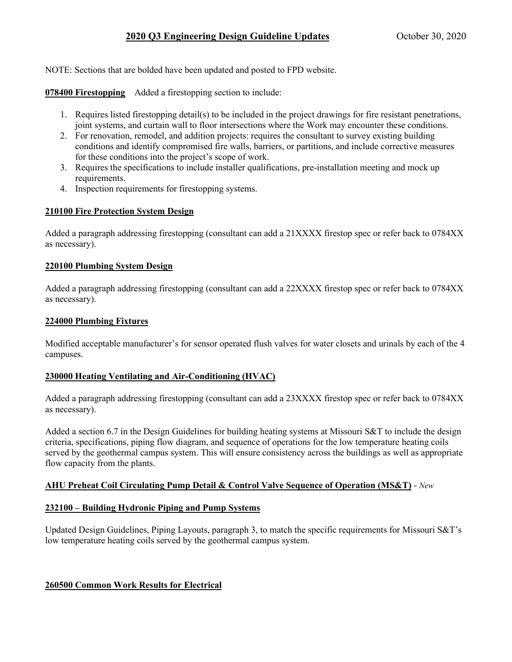NOTE: Sections that are bolded have been updated and posted to FPD website.

**078400 Firestopping** Added a firestopping section to include:

- 1. Requires listed firestopping detail(s) to be included in the project drawings for fire resistant penetrations, joint systems, and curtain wall to floor intersections where the Work may encounter these conditions.
- 2. For renovation, remodel, and addition projects: requires the consultant to survey existing building conditions and identify compromised fire walls, barriers, or partitions, and include corrective measures for these conditions into the project's scope of work.
- 3. Requires the specifications to include installer qualifications, pre-installation meeting and mock up requirements.
- 4. Inspection requirements for firestopping systems.

## **210100 Fire Protection System Design**

Added a paragraph addressing firestopping (consultant can add a 21XXXX firestop spec or refer back to 0784XX as necessary).

## **220100 Plumbing System Design**

Added a paragraph addressing firestopping (consultant can add a 22XXXX firestop spec or refer back to 0784XX as necessary).

## **224000 Plumbing Fixtures**

Modified acceptable manufacturer's for sensor operated flush valves for water closets and urinals by each of the 4 campuses.

#### **230000 Heating Ventilating and Air-Conditioning (HVAC)**

Added a paragraph addressing firestopping (consultant can add a 23XXXX firestop spec or refer back to 0784XX as necessary).

Added a section 6.7 in the Design Guidelines for building heating systems at Missouri S&T to include the design criteria, specifications, piping flow diagram, and sequence of operations for the low temperature heating coils served by the geothermal campus system. This will ensure consistency across the buildings as well as appropriate flow capacity from the plants.

# **AHU Preheat Coil Circulating Pump Detail & Control Valve Sequence of Operation (MS&T)** - *New*

#### **232100 – Building Hydronic Piping and Pump Systems**

Updated Design Guidelines, Piping Layouts, paragraph 3, to match the specific requirements for Missouri S&T's low temperature heating coils served by the geothermal campus system.

#### **260500 Common Work Results for Electrical**